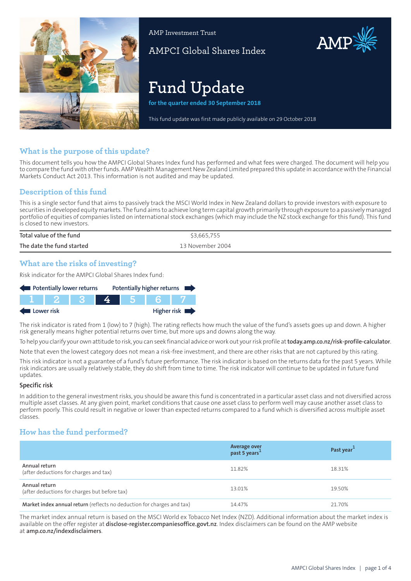

AMP Investment Trust

AMPCI Global Shares Index

# **Fund Update**

**for the quarter ended 30 September 2018**

This fund update was first made publicly available on 29 October 2018

# **What is the purpose of this update?**

This document tells you how the AMPCI Global Shares Index fund has performed and what fees were charged. The document will help you to compare the fund with other funds. AMP Wealth Management New Zealand Limited prepared this update in accordance with the Financial Markets Conduct Act 2013. This information is not audited and may be updated.

# **Description of this fund**

This is a single sector fund that aims to passively track the MSCI World Index in New Zealand dollars to provide investors with exposure to securities in developed equity markets. The fund aims to achieve long term capital growth primarily through exposure to a passively managed portfolio of equities of companies listed on international stock exchanges (which may include the NZ stock exchange forthis fund). This fund is closed to new investors.

| Total value of the fund   | \$3,665,755      |
|---------------------------|------------------|
| The date the fund started | 13 November 2004 |

# **What are the risks of investing?**

Risk indicator for the AMPCI Global Shares Index fund:



The risk indicator is rated from 1 (low) to 7 (high). The rating reflects how much the value of the fund's assets goes up and down. A higher risk generally means higher potential returns over time, but more ups and downs along the way.

To help you clarify your own attitude to risk, you can seek financial advice orwork out yourrisk profile at**[today.amp.co.nz/risk-profile-calculator](http://today.amp.co.nz/risk-profile-calculator)**.

Note that even the lowest category does not mean a risk-free investment, and there are other risks that are not captured by this rating.

This risk indicator is not a guarantee of a fund's future performance. The risk indicator is based on the returns data for the past 5 years. While risk indicators are usually relatively stable, they do shift from time to time. The risk indicator will continue to be updated in future fund updates.

#### **Specific risk**

In addition to the general investmentrisks, you should be aware this fund is concentrated in a particular asset class and not diversified across multiple asset classes. At any given point, market conditions that cause one asset class to perform well may cause another asset class to perform poorly. This could result in negative or lower than expected returns compared to a fund which is diversified across multiple asset classes.

# **How has the fund performed?**

|                                                                        | Average over<br>past 5 years <sup>1</sup> | Past year <sup>1</sup> |
|------------------------------------------------------------------------|-------------------------------------------|------------------------|
| Annual return<br>(after deductions for charges and tax)                | 11.82%                                    | 18.31%                 |
| Annual return<br>(after deductions for charges but before tax)         | 13.01%                                    | 19.50%                 |
| Market index annual return (reflects no deduction for charges and tax) | 14.47%                                    | 21.70%                 |

The market index annual return is based on the MSCI World ex Tobacco Net Index (NZD). Additional information about the market index is available on the offer register at **[disclose-register.companiesoffice.govt.nz](https://disclose-register.companiesoffice.govt.nz/)**. Index disclaimers can be found on the AMP website at **[amp.co.nz/indexdisclaimers](http://amp.co.nz/indexdisclaimers)**.

AMP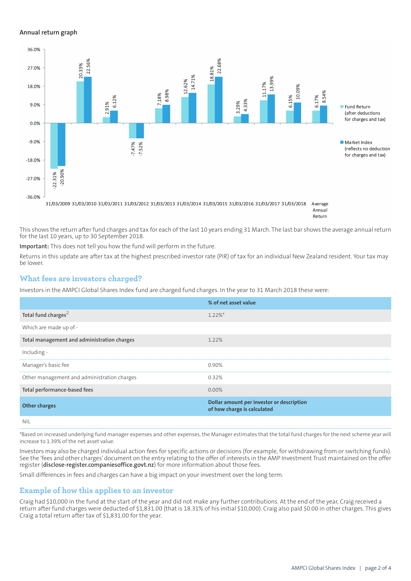#### **Annual return graph**



Annual Return

This shows the return after fund charges and tax for each of the last 10 years ending 31 March. The last bar shows the average annual return for the last 10 years, up to 30 September 2018.

**Important:** This does not tell you how the fund will perform in the future.

Returns in this update are after tax at the highest prescribed investor rate (PIR) of tax for an individual New Zealand resident. Your tax may be lower.

# **What fees are investors charged?**

Investors in the AMPCI Global Shares Index fund are charged fund charges. In the year to 31 March 2018 these were:

|                                             | % of net asset value                                                     |
|---------------------------------------------|--------------------------------------------------------------------------|
| Total fund charges <sup>2</sup>             | $1.22\%$ *                                                               |
| Which are made up of -                      |                                                                          |
| Total management and administration charges | 1.22%                                                                    |
| Including -                                 |                                                                          |
| Manager's basic fee                         | 0.90%                                                                    |
| Other management and administration charges | 0.32%                                                                    |
| Total performance-based fees                | $0.00\%$                                                                 |
| <b>Other charges</b>                        | Dollar amount per investor or description<br>of how charge is calculated |
| <b>NIL</b>                                  |                                                                          |

\*Based on increased underlying fund manager expenses and other expenses, the Manager estimates that the total fund charges for the next scheme year will increase to 1.39% of the net asset value.

Investors may also be charged individual action fees for specific actions or decisions (for example, for withdrawing from or switching funds). See the 'fees and other charges' document on the entry relating to the offer of interests in the AMP Investment Trust maintained on the offer register (**[disclose-register.companiesoffice.govt.nz](https://disclose-register.companiesoffice.govt.nz/)**) for more information about those fees.

Small differences in fees and charges can have a big impact on your investment over the long term.

# **Example of how this applies to an investor**

Craig had \$10,000 in the fund at the start of the year and did not make any further contributions. At the end of the year, Craig received a return after fund charges were deducted of \$1,831.00 (that is 18.31% of his initial \$10,000). Craig also paid \$0.00 in other charges. This gives Craig a total return after tax of \$1,831.00 for the year.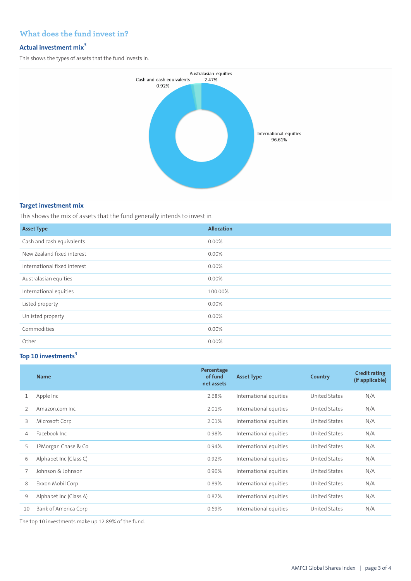# **What does the fund invest in?**

## **Actual investment mix<sup>3</sup>**

This shows the types of assets that the fund invests in.



#### **Target investment mix**

This shows the mix of assets that the fund generally intends to invest in.

| <b>Asset Type</b>            | <b>Allocation</b> |
|------------------------------|-------------------|
| Cash and cash equivalents    | 0.00%             |
| New Zealand fixed interest   | 0.00%             |
| International fixed interest | 0.00%             |
| Australasian equities        | 0.00%             |
| International equities       | 100.00%           |
| Listed property              | 0.00%             |
| Unlisted property            | 0.00%             |
| Commodities                  | 0.00%             |
| Other                        | 0.00%             |

# **Top 10 investments<sup>3</sup>**

|               | <b>Name</b>            | Percentage<br>of fund<br>net assets | <b>Asset Type</b>      | Country              | <b>Credit rating</b><br>(if applicable) |
|---------------|------------------------|-------------------------------------|------------------------|----------------------|-----------------------------------------|
| 1             | Apple Inc              | 2.68%                               | International equities | United States        | N/A                                     |
| $\mathcal{P}$ | Amazon.com Inc.        | 2.01%                               | International equities | United States        | N/A                                     |
| 3             | Microsoft Corp         | 2.01%                               | International equities | United States        | N/A                                     |
| 4             | Facebook Inc.          | 0.98%                               | International equities | United States        | N/A                                     |
| 5             | JPMorgan Chase & Co    | 0.94%                               | International equities | United States        | N/A                                     |
| 6             | Alphabet Inc (Class C) | 0.92%                               | International equities | United States        | N/A                                     |
|               | Johnson & Johnson      | 0.90%                               | International equities | United States        | N/A                                     |
| 8             | Exxon Mobil Corp       | 0.89%                               | International equities | United States        | N/A                                     |
| 9             | Alphabet Inc (Class A) | 0.87%                               | International equities | <b>United States</b> | N/A                                     |
| 10            | Bank of America Corp   | 0.69%                               | International equities | United States        | N/A                                     |

The top 10 investments make up 12.89% of the fund.